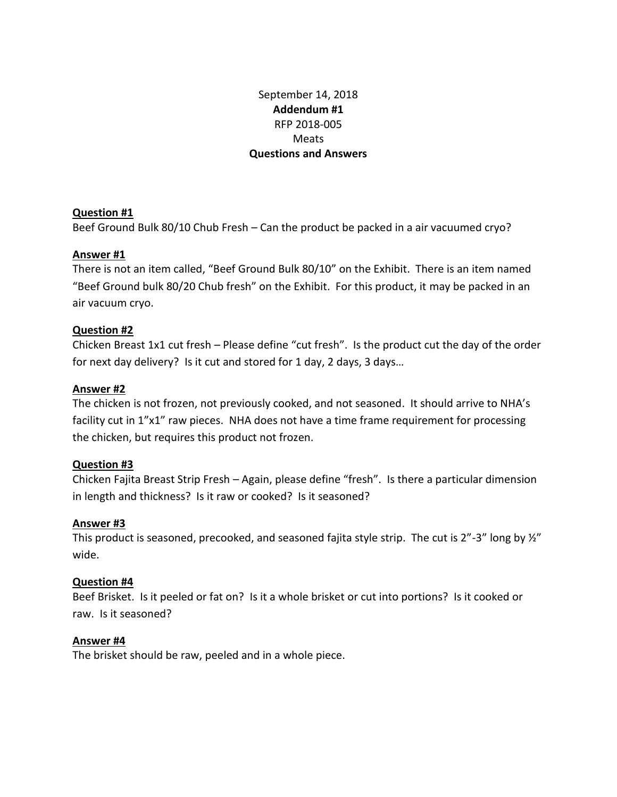# September 14, 2018 **Addendum #1** RFP 2018-005 Meats **Questions and Answers**

## **Question #1**

Beef Ground Bulk 80/10 Chub Fresh – Can the product be packed in a air vacuumed cryo?

## **Answer #1**

There is not an item called, "Beef Ground Bulk 80/10" on the Exhibit. There is an item named "Beef Ground bulk 80/20 Chub fresh" on the Exhibit. For this product, it may be packed in an air vacuum cryo.

## **Question #2**

Chicken Breast 1x1 cut fresh – Please define "cut fresh". Is the product cut the day of the order for next day delivery? Is it cut and stored for 1 day, 2 days, 3 days…

## **Answer #2**

The chicken is not frozen, not previously cooked, and not seasoned. It should arrive to NHA's facility cut in 1"x1" raw pieces. NHA does not have a time frame requirement for processing the chicken, but requires this product not frozen.

## **Question #3**

Chicken Fajita Breast Strip Fresh – Again, please define "fresh". Is there a particular dimension in length and thickness? Is it raw or cooked? Is it seasoned?

### **Answer #3**

This product is seasoned, precooked, and seasoned fajita style strip. The cut is  $2''-3''$  long by  $\frac{1}{2}''$ wide.

### **Question #4**

Beef Brisket. Is it peeled or fat on? Is it a whole brisket or cut into portions? Is it cooked or raw. Is it seasoned?

### **Answer #4**

The brisket should be raw, peeled and in a whole piece.